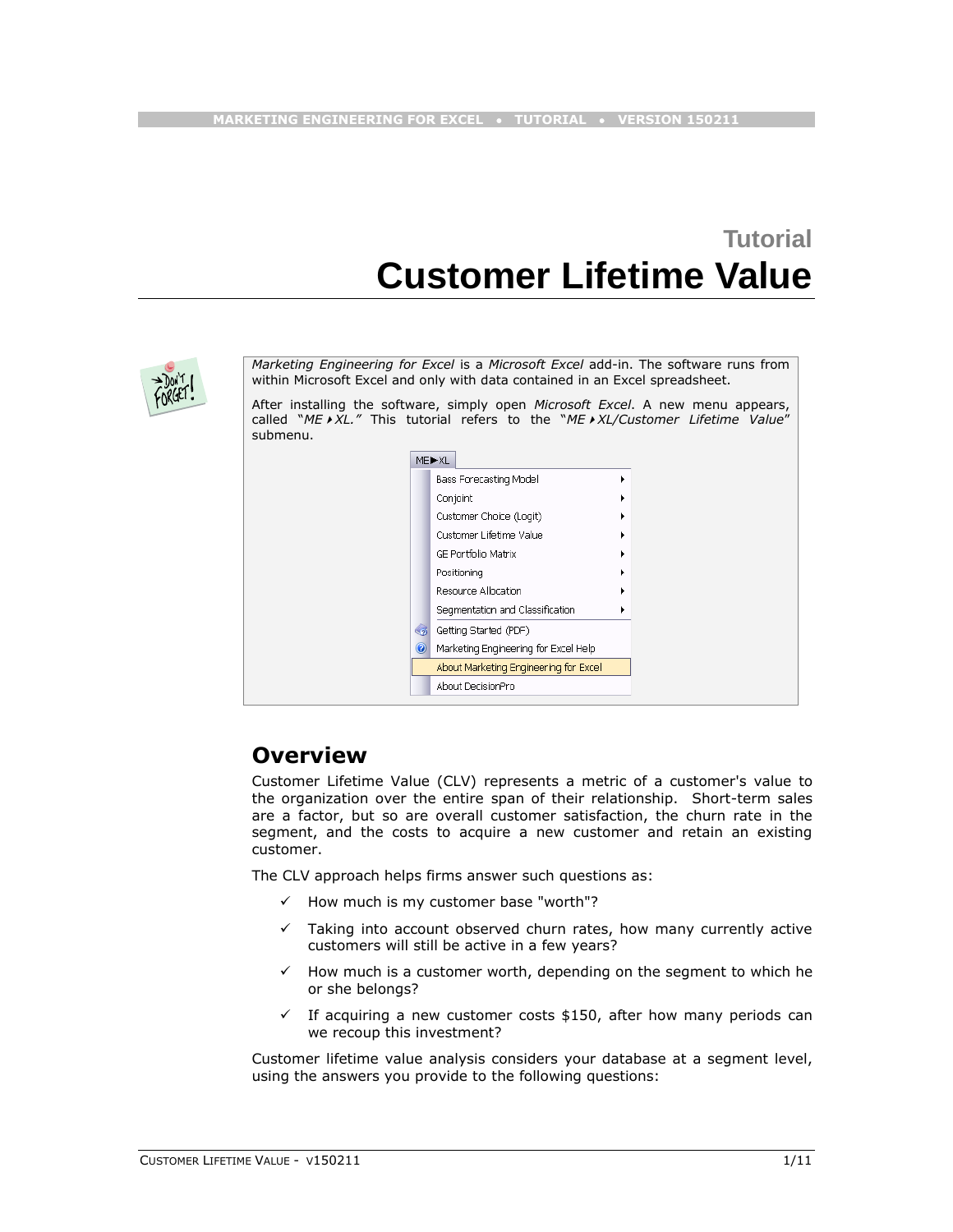# **Tutorial Customer Lifetime Value**



*Marketing Engineering for Excel* is a *Microsoft Excel* add-in. The software runs from within Microsoft Excel and only with data contained in an Excel spreadsheet.

After installing the software, simply open *Microsoft Excel*. A new menu appears, called "*MEXL."* This tutorial refers to the "*MEXL/Customer Lifetime Value*" submenu.

|         | MED-XL |                                       |  |
|---------|--------|---------------------------------------|--|
|         |        | <b>Bass Forecasting Model</b>         |  |
|         |        | Conjoint                              |  |
|         |        | Customer Choice (Logit)               |  |
|         |        | Customer Lifetime Value               |  |
|         |        | <b>GE Portfolio Matrix</b>            |  |
|         |        | Positioning                           |  |
|         |        | Resource Allocation                   |  |
|         |        | Segmentation and Classification       |  |
| ี       |        | Getting Started (PDF)                 |  |
| $\odot$ |        | Marketing Engineering for Excel Help  |  |
|         |        | About Marketing Engineering for Excel |  |
|         |        | About DecisionPro                     |  |

# **Overview**

Customer Lifetime Value (CLV) represents a metric of a customer's value to the organization over the entire span of their relationship. Short-term sales are a factor, but so are overall customer satisfaction, the churn rate in the segment, and the costs to acquire a new customer and retain an existing customer.

The CLV approach helps firms answer such questions as:

- $\checkmark$  How much is my customer base "worth"?
- $\checkmark$  Taking into account observed churn rates, how many currently active customers will still be active in a few years?
- $\checkmark$  How much is a customer worth, depending on the segment to which he or she belongs?
- $\checkmark$  If acquiring a new customer costs \$150, after how many periods can we recoup this investment?

Customer lifetime value analysis considers your database at a segment level, using the answers you provide to the following questions: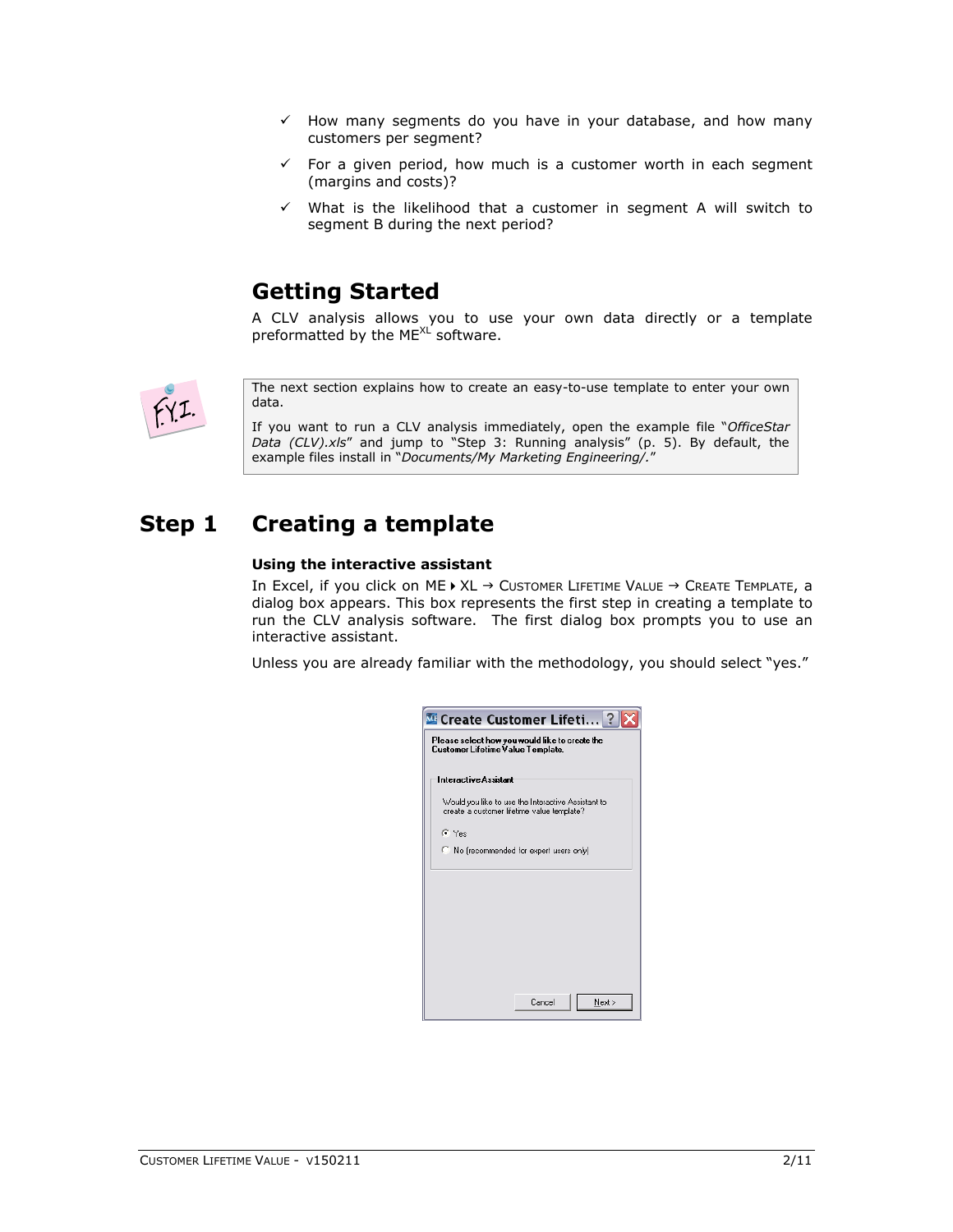- $\checkmark$  How many segments do you have in your database, and how many customers per segment?
- $\checkmark$  For a given period, how much is a customer worth in each segment (margins and costs)?
- $\checkmark$  What is the likelihood that a customer in segment A will switch to segment B during the next period?

# **Getting Started**

A CLV analysis allows you to use your own data directly or a template preformatted by the ME $X^L$  software.



The next section explains how to create an easy-to-use template to enter your own data.

If you want to run a CLV analysis immediately, open the example file "*OfficeStar Data (CLV).xls*" and jump to "Step 3: Running analysis" (p. [5\)](#page-4-0). By default, the example files install in "*Documents/My Marketing Engineering/.*"

# **Step 1 Creating a template**

### **Using the interactive assistant**

In Excel, if you click on ME  $\rightarrow$  XL  $\rightarrow$  Customer LIFETIME VALUE  $\rightarrow$  Create Template, a dialog box appears. This box represents the first step in creating a template to run the CLV analysis software. The first dialog box prompts you to use an interactive assistant.

Unless you are already familiar with the methodology, you should select "yes."

| <b>ME Create Customer Lifeti</b> ?                                                               |
|--------------------------------------------------------------------------------------------------|
| Please select how you would like to create the<br>Customer Lifetime Value Template.              |
| <b>Interactive Assistant</b>                                                                     |
| Would you like to use the Interactive Assistant to<br>create a customer lifetime value template? |
| G Yes                                                                                            |
| No (recommended for expert users only)<br>C.                                                     |
|                                                                                                  |
|                                                                                                  |
|                                                                                                  |
|                                                                                                  |
|                                                                                                  |
|                                                                                                  |
| Next ><br>Cancel                                                                                 |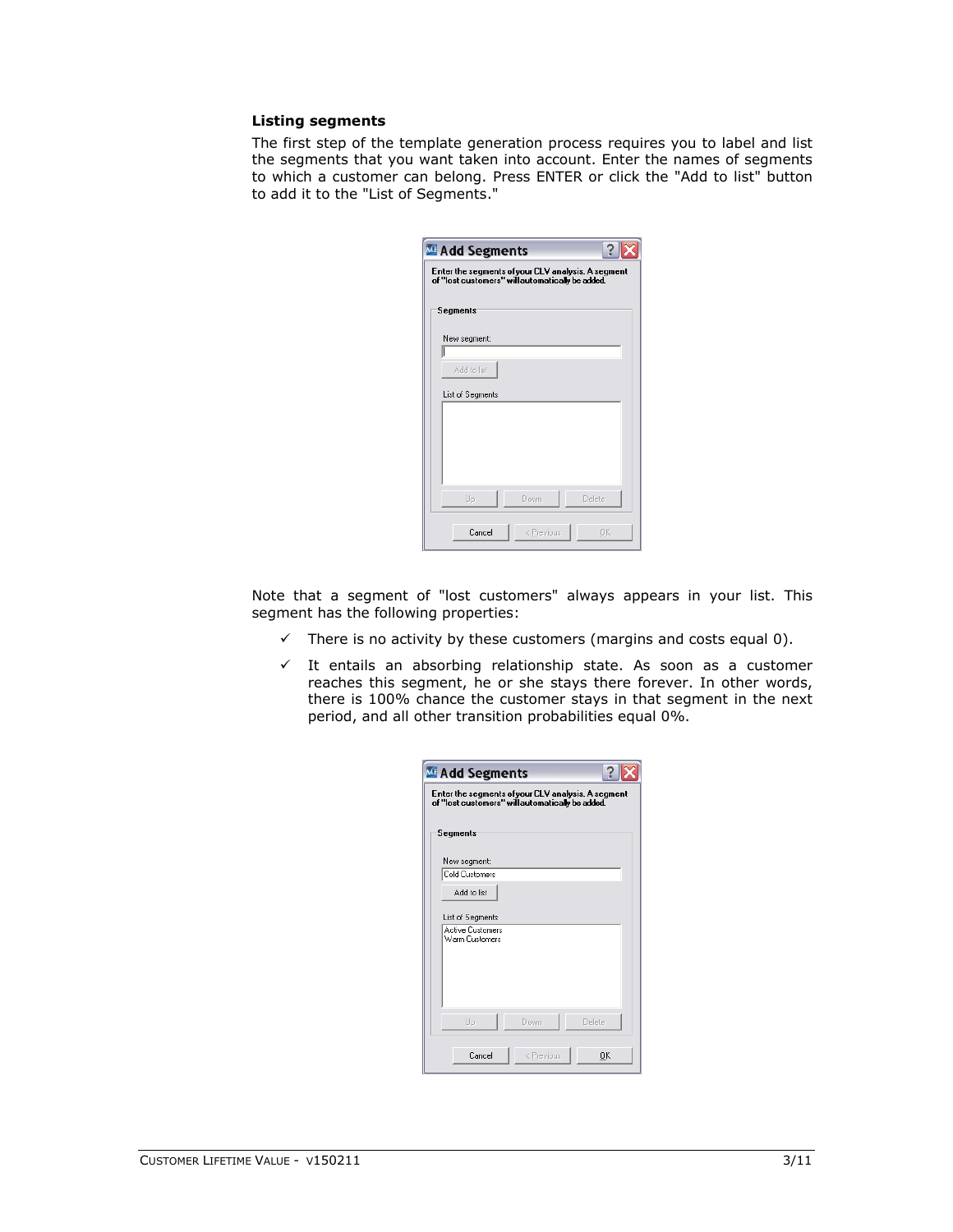### **Listing segments**

The first step of the template generation process requires you to label and list the segments that you want taken into account. Enter the names of segments to which a customer can belong. Press ENTER or click the "Add to list" button to add it to the "List of Segments."

| <b>ME Add Segments</b>                                                                                 |            |        |  |  |  |  |  |  |  |  |
|--------------------------------------------------------------------------------------------------------|------------|--------|--|--|--|--|--|--|--|--|
| Enter the segments of your CLV analysis. A segment<br>of "lost customers" will automatically be added. |            |        |  |  |  |  |  |  |  |  |
| Segments                                                                                               |            |        |  |  |  |  |  |  |  |  |
|                                                                                                        |            |        |  |  |  |  |  |  |  |  |
| New segment:                                                                                           |            |        |  |  |  |  |  |  |  |  |
| Add to list                                                                                            |            |        |  |  |  |  |  |  |  |  |
| List of Segments                                                                                       |            |        |  |  |  |  |  |  |  |  |
|                                                                                                        |            |        |  |  |  |  |  |  |  |  |
|                                                                                                        |            |        |  |  |  |  |  |  |  |  |
|                                                                                                        |            |        |  |  |  |  |  |  |  |  |
|                                                                                                        |            |        |  |  |  |  |  |  |  |  |
| Up                                                                                                     | Down       | Delete |  |  |  |  |  |  |  |  |
|                                                                                                        |            |        |  |  |  |  |  |  |  |  |
| Cancel                                                                                                 | < Previous | 0K     |  |  |  |  |  |  |  |  |

Note that a segment of "lost customers" always appears in your list. This segment has the following properties:

- $\checkmark$  There is no activity by these customers (margins and costs equal 0).
- $\checkmark$  It entails an absorbing relationship state. As soon as a customer reaches this segment, he or she stays there forever. In other words, there is 100% chance the customer stays in that segment in the next period, and all other transition probabilities equal 0%.

| <b>ME Add Segments</b>                                                                                 |                  |  |  |  |  |  |  |  |  |  |  |
|--------------------------------------------------------------------------------------------------------|------------------|--|--|--|--|--|--|--|--|--|--|
| Enter the segments of your CLV analysis. A segment<br>of "lost customers" will automatically be added. |                  |  |  |  |  |  |  |  |  |  |  |
| Segments                                                                                               |                  |  |  |  |  |  |  |  |  |  |  |
| New segment:                                                                                           |                  |  |  |  |  |  |  |  |  |  |  |
| <b>Cold Customers</b>                                                                                  |                  |  |  |  |  |  |  |  |  |  |  |
| Add to list                                                                                            |                  |  |  |  |  |  |  |  |  |  |  |
| List of Segments                                                                                       |                  |  |  |  |  |  |  |  |  |  |  |
| <b>Active Customers</b><br>Warm Customers                                                              |                  |  |  |  |  |  |  |  |  |  |  |
|                                                                                                        |                  |  |  |  |  |  |  |  |  |  |  |
|                                                                                                        |                  |  |  |  |  |  |  |  |  |  |  |
|                                                                                                        |                  |  |  |  |  |  |  |  |  |  |  |
|                                                                                                        |                  |  |  |  |  |  |  |  |  |  |  |
| Up<br>Down                                                                                             | Delete           |  |  |  |  |  |  |  |  |  |  |
| Cancel                                                                                                 | < Previous<br>OK |  |  |  |  |  |  |  |  |  |  |
|                                                                                                        |                  |  |  |  |  |  |  |  |  |  |  |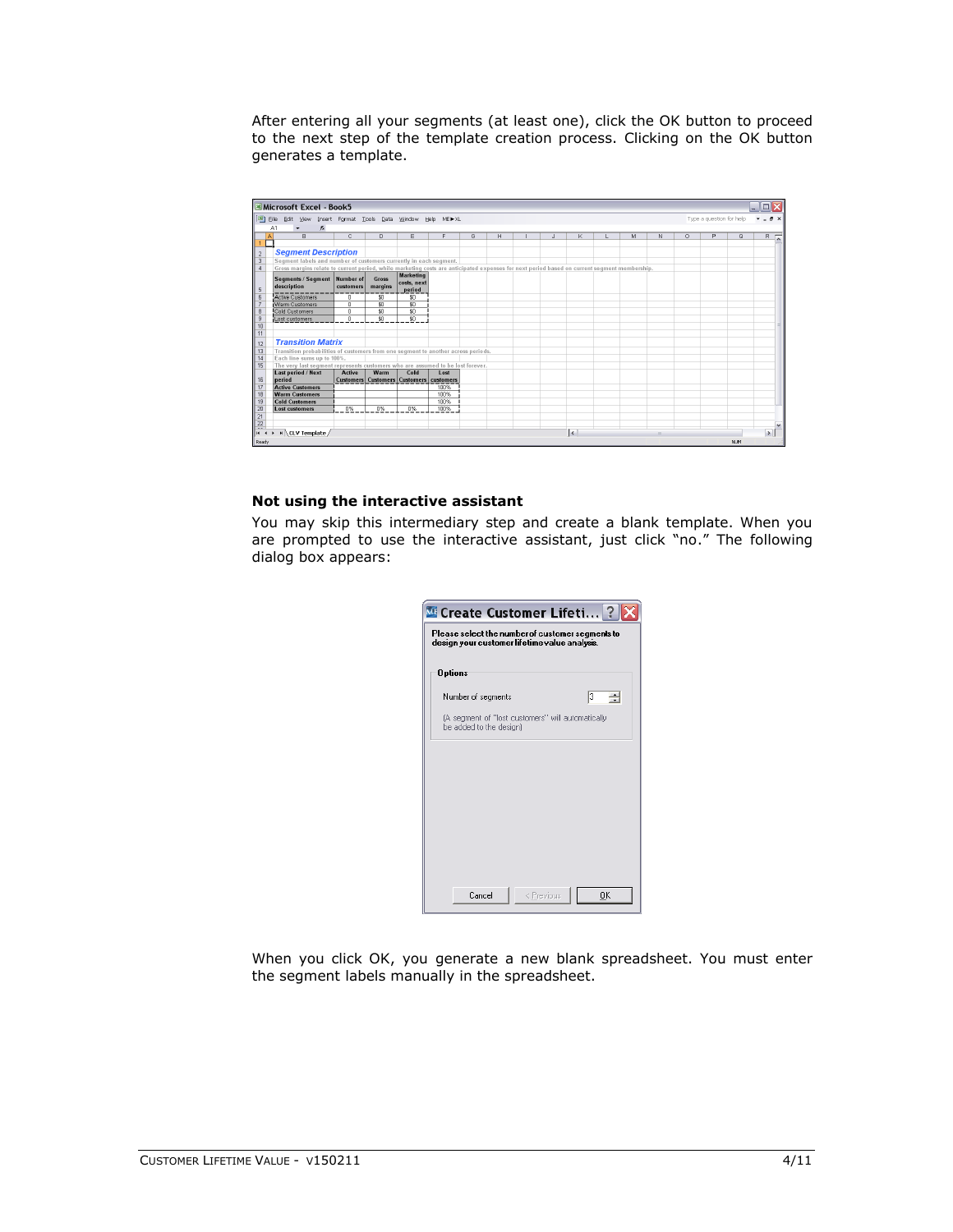After entering all your segments (at least one), click the OK button to proceed to the next step of the template creation process. Clicking on the OK button generates a template.



#### **Not using the interactive assistant**

You may skip this intermediary step and create a blank template. When you are prompted to use the interactive assistant, just click "no." The following dialog box appears:

| Create Customer Lifeti ?<br>Please select the number of customer segments to<br>design your customer lifetime value analysis. |            |        |
|-------------------------------------------------------------------------------------------------------------------------------|------------|--------|
| <b>Options</b>                                                                                                                |            |        |
| Number of segments                                                                                                            |            | з<br>÷ |
| (A segment of "lost customers" will automatically<br>be added to the design)                                                  |            |        |
|                                                                                                                               |            |        |
|                                                                                                                               |            |        |
|                                                                                                                               |            |        |
|                                                                                                                               |            |        |
|                                                                                                                               |            |        |
|                                                                                                                               |            |        |
| Cancel                                                                                                                        | < Previous | OK     |

When you click OK, you generate a new blank spreadsheet. You must enter the segment labels manually in the spreadsheet.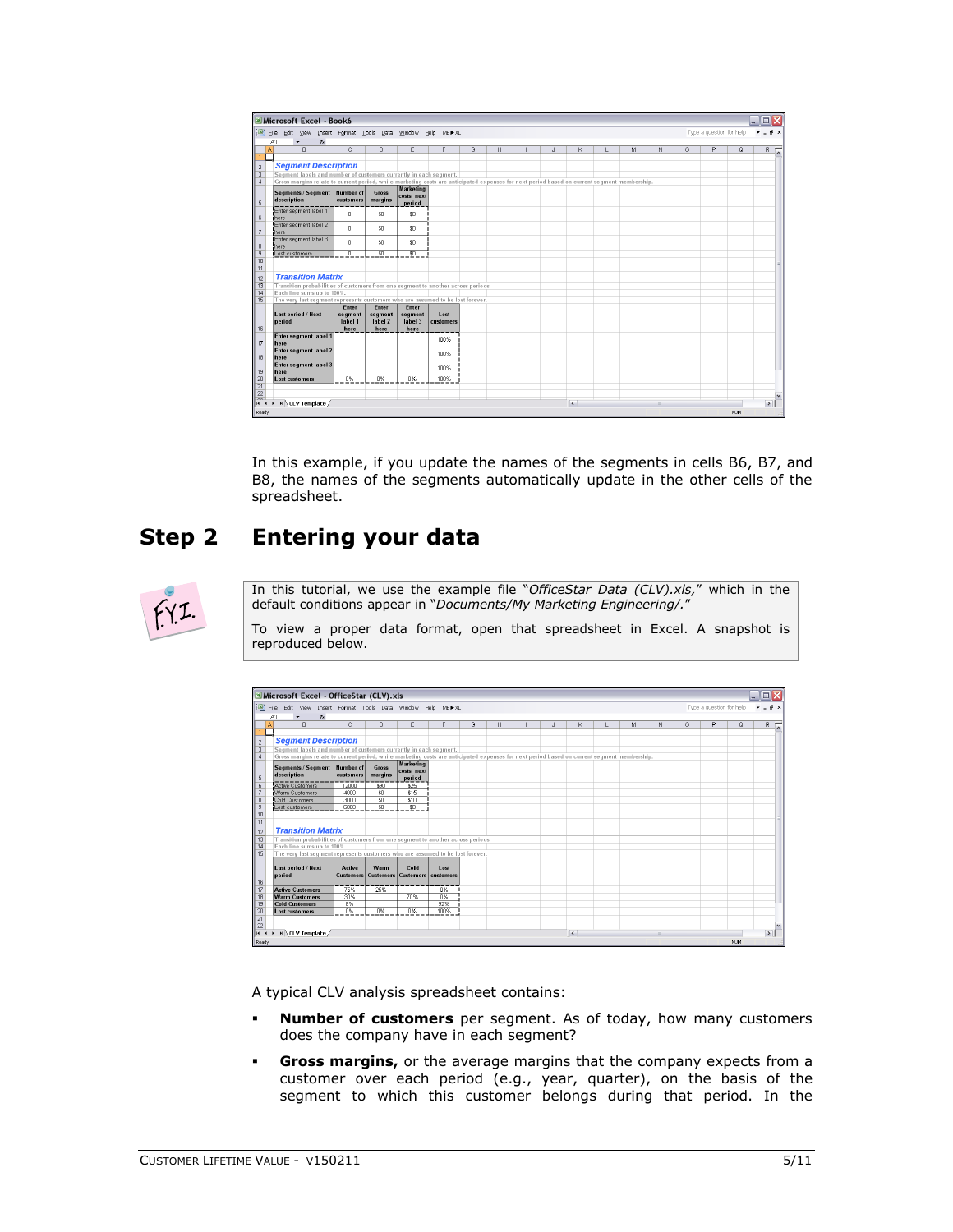| Microsoft Excel - Book6                                                                                                                     |                                     |                                     |                                            |                    |   |   |              |                     |   |     |    |                          |          | ▬                  |
|---------------------------------------------------------------------------------------------------------------------------------------------|-------------------------------------|-------------------------------------|--------------------------------------------|--------------------|---|---|--------------|---------------------|---|-----|----|--------------------------|----------|--------------------|
| 图 Eile<br>Edit View<br>$f_{\mathcal{R}}$<br>A1                                                                                              |                                     |                                     | Insert Format Tools Data Window Help ME▶XL |                    |   |   |              |                     |   |     |    | Type a question for help |          | A X                |
| $\overline{R}$<br>$\overline{A}$                                                                                                            | $\overline{C}$                      | $\overline{D}$                      | E                                          | F                  | G | H | $\mathsf{J}$ | K                   | M | N   | 0. | P                        | $\Omega$ | $R$ $\overline{A}$ |
|                                                                                                                                             |                                     |                                     |                                            |                    |   |   |              |                     |   |     |    |                          |          |                    |
| <b>Segment Description</b>                                                                                                                  |                                     |                                     |                                            |                    |   |   |              |                     |   |     |    |                          |          |                    |
| Segment labels and number of customers currently in each segment.                                                                           |                                     |                                     |                                            |                    |   |   |              |                     |   |     |    |                          |          |                    |
| Gross margins relate to current period, while marketing costs are anticipated expenses for next period based on current segment membership. |                                     |                                     |                                            |                    |   |   |              |                     |   |     |    |                          |          |                    |
| Segments / Segment Number of<br>description                                                                                                 | customers                           | <b>Gross</b><br>margins             | <b>Marketing</b><br>costs, next<br>period  |                    |   |   |              |                     |   |     |    |                          |          |                    |
| Enter segment label 1<br>here                                                                                                               | $\Omega$                            | \$0                                 | \$0                                        |                    |   |   |              |                     |   |     |    |                          |          |                    |
| Enter segment label 2<br>here                                                                                                               | $\mathbf{0}$                        | \$Ū                                 | \$0                                        |                    |   |   |              |                     |   |     |    |                          |          |                    |
| Enter segment label 3<br>here                                                                                                               | $\Omega$                            | \$0                                 | \$0                                        |                    |   |   |              |                     |   |     |    |                          |          |                    |
| Lost customers                                                                                                                              | $\mathbf{0}$                        | \$0                                 | $\overline{50}$                            |                    |   |   |              |                     |   |     |    |                          |          |                    |
|                                                                                                                                             |                                     |                                     |                                            |                    |   |   |              |                     |   |     |    |                          |          |                    |
|                                                                                                                                             |                                     |                                     |                                            |                    |   |   |              |                     |   |     |    |                          |          |                    |
| <b>Transition Matrix</b>                                                                                                                    |                                     |                                     |                                            |                    |   |   |              |                     |   |     |    |                          |          |                    |
| Transition probabilities of customers from one segment to another across periods.<br>Each line sums up to 100%.                             |                                     |                                     |                                            |                    |   |   |              |                     |   |     |    |                          |          |                    |
| The very last seqment represents customers who are assumed to be lost forever.                                                              |                                     |                                     |                                            |                    |   |   |              |                     |   |     |    |                          |          |                    |
| Last period / Next<br>period                                                                                                                | Enter<br>segment<br>label 1<br>here | Enter<br>segment<br>label 2<br>here | Enter<br>segment<br>label 3<br>here        | I ost<br>customers |   |   |              |                     |   |     |    |                          |          |                    |
| <b>Enter segment label 1</b><br>here                                                                                                        |                                     |                                     |                                            | 100%               |   |   |              |                     |   |     |    |                          |          |                    |
| Enter segment label 2<br>here                                                                                                               |                                     |                                     |                                            | 100%               |   |   |              |                     |   |     |    |                          |          |                    |
| Enter segment label 31<br>here                                                                                                              |                                     |                                     |                                            | 100%               |   |   |              |                     |   |     |    |                          |          |                    |
| <b>Lost customers</b>                                                                                                                       | $0\%$                               | 0%                                  | 0%                                         | 100%               |   |   |              |                     |   |     |    |                          |          |                    |
| H CLV Template /<br><b>H</b> +                                                                                                              |                                     |                                     |                                            |                    |   |   |              | $\vert \cdot \vert$ |   | (1) |    |                          |          | $\rightarrow$      |
| Ready                                                                                                                                       |                                     |                                     |                                            |                    |   |   |              |                     |   |     |    |                          | NUM      |                    |

In this example, if you update the names of the segments in cells B6, B7, and B8, the names of the segments automatically update in the other cells of the spreadsheet.

# <span id="page-4-0"></span>**Step 2 Entering your data**



In this tutorial, we use the example file "*OfficeStar Data (CLV).xls,*" which in the default conditions appear in "*Documents/My Marketing Engineering/.*"

To view a proper data format, open that spreadsheet in Excel. A snapshot is reproduced below.

|                 | Microsoft Excel - OfficeStar (CLV).xls                                                                                                      |               |                |                                               |                  |   |   |   |                     |   |              |          |                          |          |                    |
|-----------------|---------------------------------------------------------------------------------------------------------------------------------------------|---------------|----------------|-----------------------------------------------|------------------|---|---|---|---------------------|---|--------------|----------|--------------------------|----------|--------------------|
|                 | Elle Edit View Insert Format Tools Data Window Help METXL                                                                                   |               |                |                                               |                  |   |   |   |                     |   |              |          | Type a question for help |          |                    |
|                 | A1<br>$\hat{\kappa}$                                                                                                                        |               |                |                                               |                  |   |   |   |                     |   |              |          |                          |          |                    |
|                 | $\overline{B}$<br>$\mathbf{A}$                                                                                                              | $\mathbb{C}$  | $\overline{D}$ | F                                             | F                | G | H | J | ĸ                   | M | N            | $\Omega$ | p                        | $\Omega$ | $R$ $\overline{A}$ |
|                 |                                                                                                                                             |               |                |                                               |                  |   |   |   |                     |   |              |          |                          |          |                    |
| $\sqrt{2}$      | <b>Segment Description</b>                                                                                                                  |               |                |                                               |                  |   |   |   |                     |   |              |          |                          |          |                    |
| $\overline{3}$  | Segment labels and number of customers currently in each segment.                                                                           |               |                |                                               |                  |   |   |   |                     |   |              |          |                          |          |                    |
| Δ               | Gross margins relate to current period, while marketing costs are anticipated expenses for next period based on current segment membership. |               |                |                                               |                  |   |   |   |                     |   |              |          |                          |          |                    |
|                 | Segments / Segment Number of                                                                                                                |               | Gross          | <b>Marketing</b>                              |                  |   |   |   |                     |   |              |          |                          |          |                    |
|                 | description                                                                                                                                 | customers     | margins        | costs, next                                   |                  |   |   |   |                     |   |              |          |                          |          |                    |
| 5               |                                                                                                                                             |               |                | period                                        |                  |   |   |   |                     |   |              |          |                          |          |                    |
| 6               | <b>Active Customers</b>                                                                                                                     | 12000         | 390            | \$25                                          |                  |   |   |   |                     |   |              |          |                          |          |                    |
|                 | Warm Customers                                                                                                                              | 4000          | 50             | \$15                                          |                  |   |   |   |                     |   |              |          |                          |          |                    |
| 8<br>9          | Cold Customers                                                                                                                              | 3000<br>6000  | \$0<br>\$0     | \$10<br>$\overline{50}$                       |                  |   |   |   |                     |   |              |          |                          |          |                    |
| 10              | Lost customers                                                                                                                              |               |                |                                               |                  |   |   |   |                     |   |              |          |                          |          |                    |
| 11              |                                                                                                                                             |               |                |                                               |                  |   |   |   |                     |   |              |          |                          |          |                    |
|                 | <b>Transition Matrix</b>                                                                                                                    |               |                |                                               |                  |   |   |   |                     |   |              |          |                          |          |                    |
| 12              |                                                                                                                                             |               |                |                                               |                  |   |   |   |                     |   |              |          |                          |          |                    |
| 13<br>14        | Transition probabilities of customers from one segment to another across periods.<br>Each line sums up to 100%.                             |               |                |                                               |                  |   |   |   |                     |   |              |          |                          |          |                    |
| 15              | The very last segment represents customers who are assumed to be lost forever.                                                              |               |                |                                               |                  |   |   |   |                     |   |              |          |                          |          |                    |
|                 |                                                                                                                                             |               |                |                                               |                  |   |   |   |                     |   |              |          |                          |          |                    |
|                 | Last period / Next                                                                                                                          | <b>Active</b> | Warm           | Cold                                          | I ost            |   |   |   |                     |   |              |          |                          |          |                    |
|                 | period                                                                                                                                      |               |                | Customers   Customers   Customers   customers |                  |   |   |   |                     |   |              |          |                          |          |                    |
| 16              |                                                                                                                                             |               |                |                                               |                  |   |   |   |                     |   |              |          |                          |          |                    |
| 17              | <b>Active Customers</b>                                                                                                                     | 75%           | 25%            |                                               | 0%               |   |   |   |                     |   |              |          |                          |          |                    |
| 18              | <b>Warm Customers</b>                                                                                                                       | 30%           |                | 70%                                           | $\overline{0\%}$ |   |   |   |                     |   |              |          |                          |          |                    |
| 19              | <b>Cold Customers</b>                                                                                                                       | 8%            |                |                                               | 92%              |   |   |   |                     |   |              |          |                          |          |                    |
| 20              | Lost customers                                                                                                                              | 0%            | 0%             | 0%                                            | 100%             |   |   |   |                     |   |              |          |                          |          |                    |
| 21              |                                                                                                                                             |               |                |                                               |                  |   |   |   |                     |   |              |          |                          |          |                    |
| $\overline{22}$ |                                                                                                                                             |               |                |                                               |                  |   |   |   |                     |   |              |          |                          |          | $\rightarrow$      |
| $H - 4$         | M CLV Template /                                                                                                                            |               |                |                                               |                  |   |   |   | $\vert \cdot \vert$ |   | $\mathbf{u}$ |          |                          |          |                    |
| Ready           |                                                                                                                                             |               |                |                                               |                  |   |   |   |                     |   |              |          |                          | NUM      |                    |

A typical CLV analysis spreadsheet contains:

- **Number of customers** per segment. As of today, how many customers does the company have in each segment?
- **Gross margins,** or the average margins that the company expects from a customer over each period (e.g., year, quarter), on the basis of the segment to which this customer belongs during that period. In the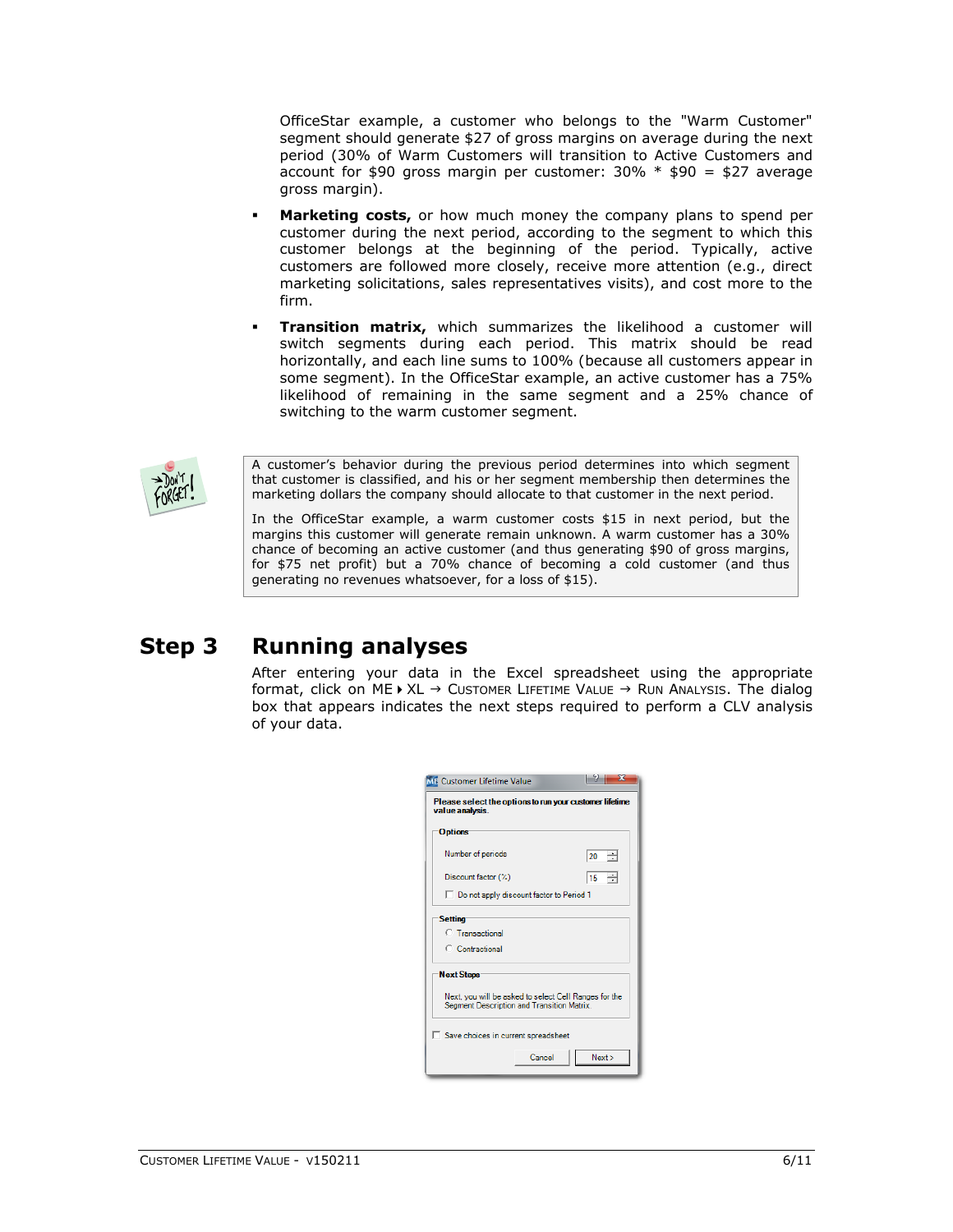OfficeStar example, a customer who belongs to the "Warm Customer" segment should generate \$27 of gross margins on average during the next period (30% of Warm Customers will transition to Active Customers and account for \$90 gross margin per customer:  $30\% * $90 = $27$  average gross margin).

- **Marketing costs,** or how much money the company plans to spend per customer during the next period, according to the segment to which this customer belongs at the beginning of the period. Typically, active customers are followed more closely, receive more attention (e.g., direct marketing solicitations, sales representatives visits), and cost more to the firm.
- **Transition matrix,** which summarizes the likelihood a customer will switch segments during each period. This matrix should be read horizontally, and each line sums to 100% (because all customers appear in some segment). In the OfficeStar example, an active customer has a 75% likelihood of remaining in the same segment and a 25% chance of switching to the warm customer segment.



A customer's behavior during the previous period determines into which segment that customer is classified, and his or her segment membership then determines the marketing dollars the company should allocate to that customer in the next period.

In the OfficeStar example, a warm customer costs \$15 in next period, but the margins this customer will generate remain unknown. A warm customer has a 30% chance of becoming an active customer (and thus generating \$90 of gross margins, for \$75 net profit) but a 70% chance of becoming a cold customer (and thus generating no revenues whatsoever, for a loss of \$15).

# **Step 3 Running analyses**

After entering your data in the Excel spreadsheet using the appropriate format, click on ME  $\rightarrow$  XL  $\rightarrow$  Customer LIFETIME VALUE  $\rightarrow$  RUN ANALYSIS. The dialog box that appears indicates the next steps required to perform a CLV analysis of your data.

| <b>ME</b> Customer Lifetime Value                                                                   | 57                            |  |  |  |  |  |  |  |  |
|-----------------------------------------------------------------------------------------------------|-------------------------------|--|--|--|--|--|--|--|--|
| Please select the options to run your customer lifetime<br>value analysis.                          |                               |  |  |  |  |  |  |  |  |
| <b>Options</b>                                                                                      |                               |  |  |  |  |  |  |  |  |
| Number of periods                                                                                   | 120<br>÷                      |  |  |  |  |  |  |  |  |
| Discount factor (%)                                                                                 | $\frac{15}{15}$ $\rightarrow$ |  |  |  |  |  |  |  |  |
| □ Do not apply discount factor to Period 1                                                          |                               |  |  |  |  |  |  |  |  |
| <b>Setting</b>                                                                                      |                               |  |  |  |  |  |  |  |  |
| C Transactional                                                                                     |                               |  |  |  |  |  |  |  |  |
| C Contractional                                                                                     |                               |  |  |  |  |  |  |  |  |
| <b>Next Steps</b>                                                                                   |                               |  |  |  |  |  |  |  |  |
| Next, you will be asked to select Cell Ranges for the<br>Segment Description and Transition Matrix. |                               |  |  |  |  |  |  |  |  |
| Save choices in current spreadsheet                                                                 |                               |  |  |  |  |  |  |  |  |
| Cancel                                                                                              | Next                          |  |  |  |  |  |  |  |  |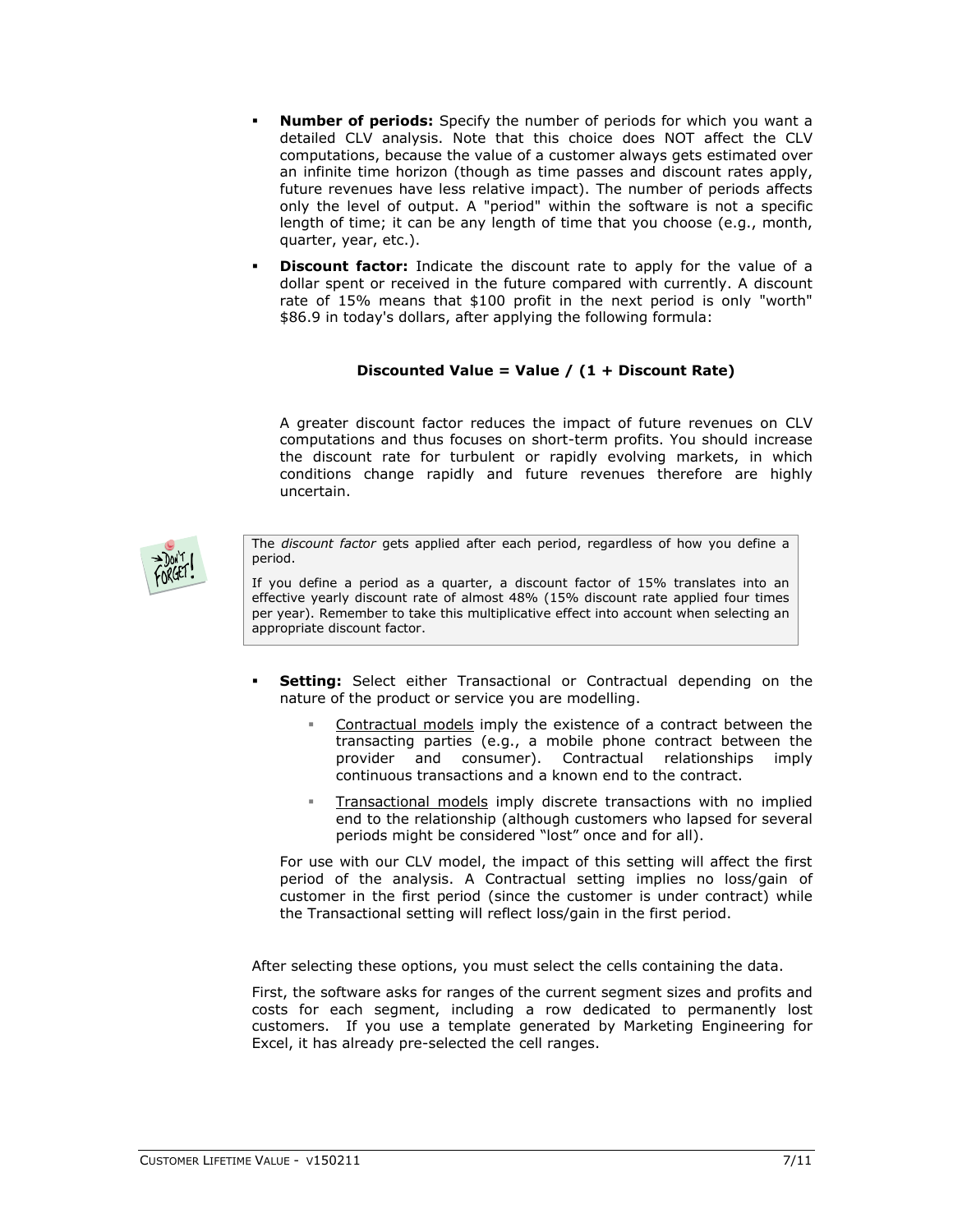- **Number of periods:** Specify the number of periods for which you want a detailed CLV analysis. Note that this choice does NOT affect the CLV computations, because the value of a customer always gets estimated over an infinite time horizon (though as time passes and discount rates apply, future revenues have less relative impact). The number of periods affects only the level of output. A "period" within the software is not a specific length of time; it can be any length of time that you choose (e.g., month, quarter, year, etc.).
- **Discount factor:** Indicate the discount rate to apply for the value of a dollar spent or received in the future compared with currently. A discount rate of 15% means that \$100 profit in the next period is only "worth" \$86.9 in today's dollars, after applying the following formula:

# **Discounted Value = Value / (1 + Discount Rate)**

A greater discount factor reduces the impact of future revenues on CLV computations and thus focuses on short-term profits. You should increase the discount rate for turbulent or rapidly evolving markets, in which conditions change rapidly and future revenues therefore are highly uncertain.



The *discount factor* gets applied after each period, regardless of how you define a period.

If you define a period as a quarter, a discount factor of 15% translates into an effective yearly discount rate of almost 48% (15% discount rate applied four times per year). Remember to take this multiplicative effect into account when selecting an appropriate discount factor.

- **Setting:** Select either Transactional or Contractual depending on the nature of the product or service you are modelling.
	- Contractual models imply the existence of a contract between the transacting parties (e.g., a mobile phone contract between the provider and consumer). Contractual relationships imply continuous transactions and a known end to the contract.
	- Transactional models imply discrete transactions with no implied end to the relationship (although customers who lapsed for several periods might be considered "lost" once and for all).

For use with our CLV model, the impact of this setting will affect the first period of the analysis. A Contractual setting implies no loss/gain of customer in the first period (since the customer is under contract) while the Transactional setting will reflect loss/gain in the first period.

After selecting these options, you must select the cells containing the data.

First, the software asks for ranges of the current segment sizes and profits and costs for each segment, including a row dedicated to permanently lost customers. If you use a template generated by Marketing Engineering for Excel, it has already pre-selected the cell ranges.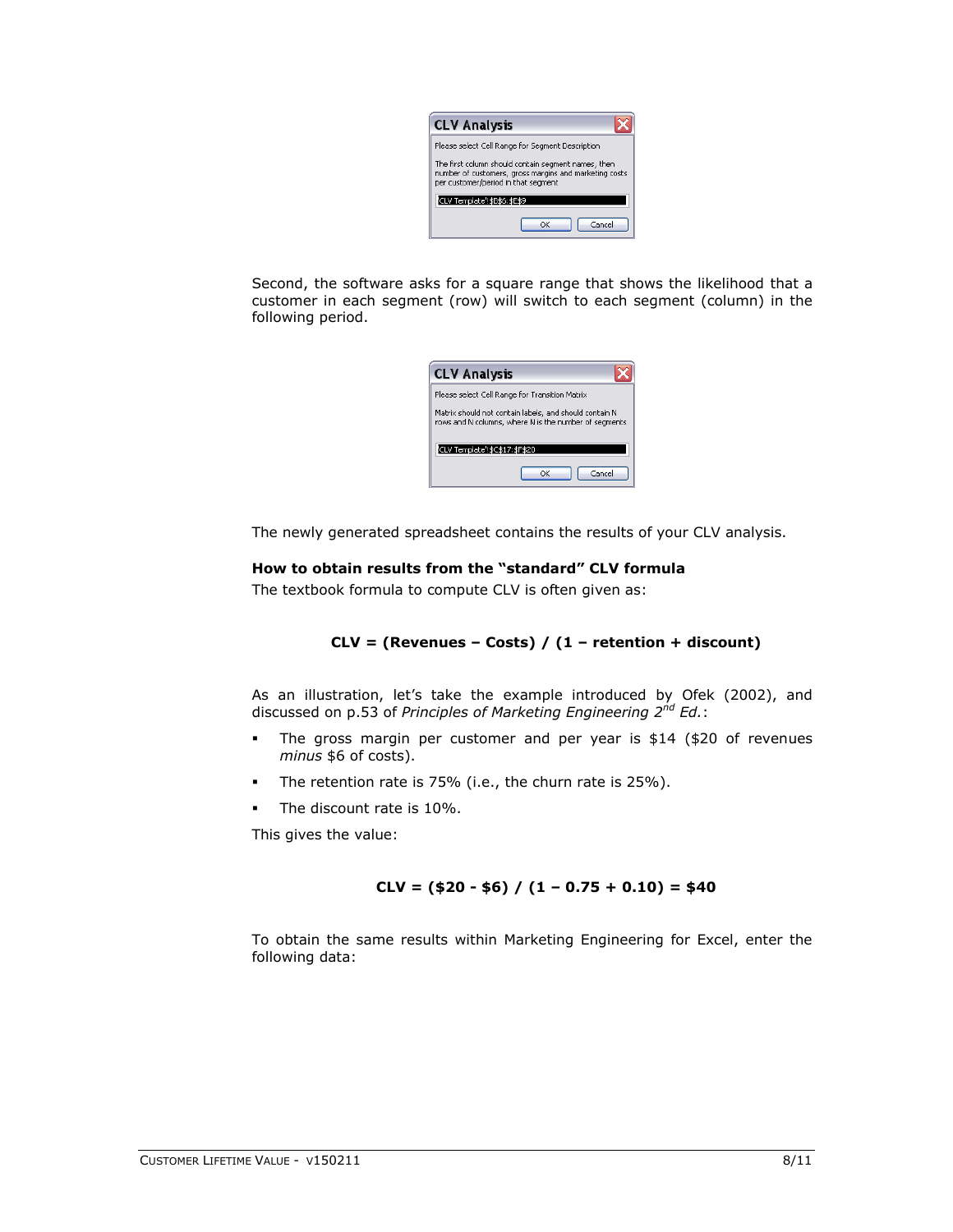| <b>CLV Analysis</b>                                                                                                                                  |  |  |  |  |  |  |  |  |
|------------------------------------------------------------------------------------------------------------------------------------------------------|--|--|--|--|--|--|--|--|
| Please select Cell Range for Segment Description                                                                                                     |  |  |  |  |  |  |  |  |
| The first column should contain segment names, then<br>number of customers, gross margins and marketing costs<br>per customer/period in that segment |  |  |  |  |  |  |  |  |
| CLV Template'!\$B\$6:\$E\$9                                                                                                                          |  |  |  |  |  |  |  |  |
| Cancel<br>OK                                                                                                                                         |  |  |  |  |  |  |  |  |

Second, the software asks for a square range that shows the likelihood that a customer in each segment (row) will switch to each segment (column) in the following period.

| <b>CLV Analysis</b>                                                                                             |  |  |  |  |  |  |  |  |
|-----------------------------------------------------------------------------------------------------------------|--|--|--|--|--|--|--|--|
| Please select Cell Range for Transition Matrix                                                                  |  |  |  |  |  |  |  |  |
| Matrix should not contain labels, and should contain N<br>rows and N columns, where N is the number of segments |  |  |  |  |  |  |  |  |
| CLV Template !\$C\$17:\$F\$20                                                                                   |  |  |  |  |  |  |  |  |
| Cancel<br>ΩK                                                                                                    |  |  |  |  |  |  |  |  |

The newly generated spreadsheet contains the results of your CLV analysis.

## **How to obtain results from the "standard" CLV formula**

The textbook formula to compute CLV is often given as:

### **CLV = (Revenues – Costs) / (1 – retention + discount)**

As an illustration, let's take the example introduced by Ofek (2002), and discussed on p.53 of *Principles of Marketing Engineering 2 nd Ed.*:

- The gross margin per customer and per year is \$14 (\$20 of revenues *minus* \$6 of costs).
- The retention rate is 75% (i.e., the churn rate is 25%).
- The discount rate is 10%.

This gives the value:

### **CLV = (\$20 - \$6) / (1 – 0.75 + 0.10) = \$40**

To obtain the same results within Marketing Engineering for Excel, enter the following data: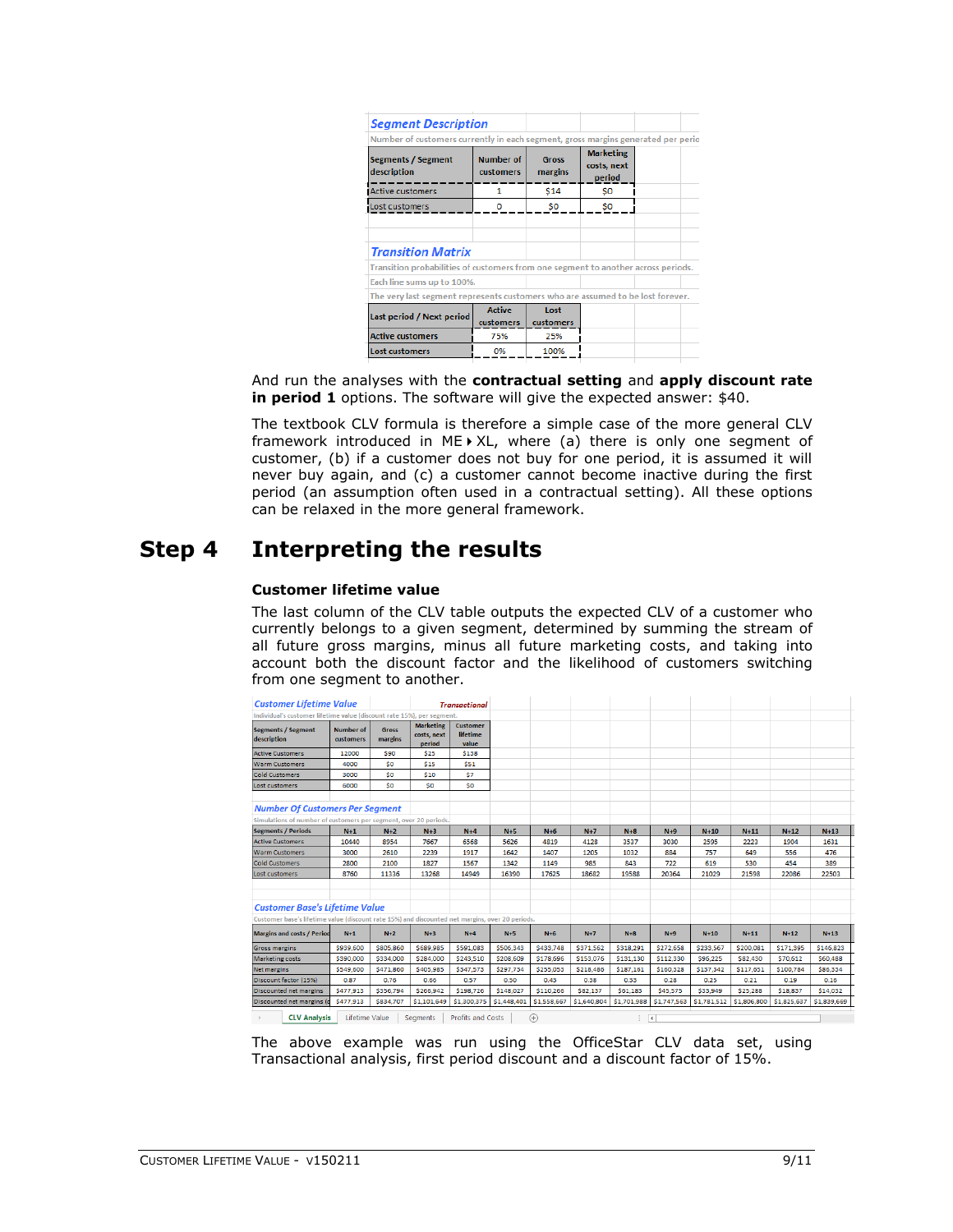| <b>Segment Description</b>                                                        |                               |                         |                                           |  |
|-----------------------------------------------------------------------------------|-------------------------------|-------------------------|-------------------------------------------|--|
| Number of customers currently in each segment, gross margins generated per perio  |                               |                         |                                           |  |
| <b>Segments / Segment</b><br>description                                          | <b>Number of</b><br>customers | <b>Gross</b><br>margins | <b>Marketing</b><br>costs, next<br>period |  |
| <b>Active customers</b>                                                           | 1                             | <b>S14</b>              | <b>SO</b>                                 |  |
| Lost customers                                                                    | o                             | S <sub>0</sub>          | \$O                                       |  |
|                                                                                   |                               |                         |                                           |  |
| <b>Transition Matrix</b>                                                          |                               |                         |                                           |  |
| Transition probabilities of customers from one segment to another across periods. |                               |                         |                                           |  |
| Each line sums up to 100%.                                                        |                               |                         |                                           |  |
| The very last segment represents customers who are assumed to be lost forever.    |                               |                         |                                           |  |
| Last period / Next period                                                         | <b>Active</b><br>customers    | Lost<br>customers       |                                           |  |
| <b>Active customers</b>                                                           | 75%                           | 25%                     |                                           |  |
| <b>Lost customers</b>                                                             | 0%                            | 100%                    |                                           |  |

And run the analyses with the **contractual setting** and **apply discount rate in period 1** options. The software will give the expected answer: \$40.

The textbook CLV formula is therefore a simple case of the more general CLV framework introduced in ME $\blacktriangleright$  XL, where (a) there is only one segment of customer, (b) if a customer does not buy for one period, it is assumed it will never buy again, and (c) a customer cannot become inactive during the first period (an assumption often used in a contractual setting). All these options can be relaxed in the more general framework.

# **Step 4 Interpreting the results**

### **Customer lifetime value**

The last column of the CLV table outputs the expected CLV of a customer who currently belongs to a given segment, determined by summing the stream of all future gross margins, minus all future marketing costs, and taking into account both the discount factor and the likelihood of customers switching from one segment to another.

| <b>Customer Lifetime Value</b>                                                                  |                               | <b>Transactional</b>    |                                           |                                      |             |                             |             |             |             |             |             |             |             |  |
|-------------------------------------------------------------------------------------------------|-------------------------------|-------------------------|-------------------------------------------|--------------------------------------|-------------|-----------------------------|-------------|-------------|-------------|-------------|-------------|-------------|-------------|--|
| Individual's customer lifetime value (discount rate 15%), per segment.                          |                               |                         |                                           |                                      |             |                             |             |             |             |             |             |             |             |  |
| <b>Segments / Segment</b><br>description                                                        | <b>Number of</b><br>customers | <b>Gross</b><br>margins | <b>Marketing</b><br>costs, next<br>period | <b>Customer</b><br>lifetime<br>value |             |                             |             |             |             |             |             |             |             |  |
| <b>Active Customers</b>                                                                         | 12000                         | <b>S90</b>              | \$25                                      | \$138                                |             |                             |             |             |             |             |             |             |             |  |
| <b>Warm Customers</b>                                                                           | 4000                          | <b>SO</b>               | <b>S15</b>                                | <b>S51</b>                           |             |                             |             |             |             |             |             |             |             |  |
| <b>Cold Customers</b>                                                                           | 3000                          | <b>SO</b>               | <b>S10</b>                                | \$7                                  |             |                             |             |             |             |             |             |             |             |  |
| Lost customers                                                                                  | 6000                          | SO <sub>1</sub>         | SO <sub>1</sub>                           | \$0                                  |             |                             |             |             |             |             |             |             |             |  |
| <b>Number Of Customers Per Segment</b>                                                          |                               |                         |                                           |                                      |             |                             |             |             |             |             |             |             |             |  |
| Simulations of number of customers per segment, over 20 periods.                                |                               |                         |                                           |                                      |             |                             |             |             |             |             |             |             |             |  |
| <b>Segments / Periods</b>                                                                       | $N+1$                         | $N+2$                   | $N+3$                                     | $N+4$                                | $N+5$       | $N+6$                       | $N+7$       | $N+8$       | $N+9$       | $N+10$      | $N+11$      | $N+12$      | $N+13$      |  |
| <b>Active Customers</b>                                                                         | 10440                         | 8954                    | 7667                                      | 6568                                 | 5626        | 4819                        | 4128        | 3537        | 3030        | 2595        | 2223        | 1904        | 1631        |  |
| <b>Warm Customers</b>                                                                           | 3000                          | 2610                    | 2239                                      | 1917                                 | 1642        | 1407                        | 1205        | 1032        | 884         | 757         | 649         | 556         | 476         |  |
| <b>Cold Customers</b>                                                                           | 2800                          | 2100                    | 1827                                      | 1567                                 | 1342        | 1149                        | 985         | 843         | 722         | 619         | 530         | 454         | 389         |  |
| Lost customers                                                                                  | 8760                          | 11336                   | 13268                                     | 14949                                | 16390       | 17625                       | 18682       | 19588       | 20364       | 21029       | 21598       | 22086       | 22503       |  |
| <b>Customer Base's Lifetime Value</b>                                                           |                               |                         |                                           |                                      |             |                             |             |             |             |             |             |             |             |  |
| Customer base's lifetime value (discount rate 15%) and discounted net margins, over 20 periods. |                               |                         |                                           |                                      |             |                             |             |             |             |             |             |             |             |  |
| <b>Margins and costs / Period</b>                                                               | $N+1$                         | $N+2$                   | $N+3$                                     | $N+4$                                | $N+5$       | $N+6$                       | $N+7$       | $N+8$       | $N+9$       | $N+10$      | $N+11$      | $N+12$      | $N+13$      |  |
| <b>Gross margins</b>                                                                            | \$939,600                     | \$805,860               | \$689,985                                 | S591,083                             | \$506,343   | \$433,748                   | \$371,562   | \$318,291   | \$272,658   | \$233,567   | \$200,081   | \$171.395   | \$146,823   |  |
| Marketing costs                                                                                 | \$390,000                     | \$334,000               | \$284,000                                 | \$243,510                            | \$208,609   | \$178,696                   | \$153,076   | \$131,130   | \$112,330   | \$96,225    | \$82,430    | \$70,612    | \$60,488    |  |
| <b>Net margins</b>                                                                              | \$549,600                     | \$471,860               | \$405,985                                 | \$347,573                            | \$297,734   | \$255,053                   | \$218,486   | \$187,161   | \$160,328   | \$137,342   | \$117,651   | \$100,784   | \$86,334    |  |
| Discount factor (15%)                                                                           | 0.87                          | 0.76                    | 0.66                                      | 0.57                                 | 0.50        | 0.43                        | 0.38        | 0.33        | 0.28        | 0.25        | 0.21        | 0.19        | 0.16        |  |
| <b>Discounted net margins</b>                                                                   | \$477,913                     | \$356,794               | \$266,942                                 | \$198,726                            | \$148,027   | \$110,266                   | \$82,137    | \$61,183    | \$45,575    | \$33,949    | \$25,288    | \$18,837    | \$14,032    |  |
| Discounted net margins (d                                                                       | S477,913                      | \$834,707               | \$1,101,649                               | \$1,300,375                          | \$1,448,401 | \$1,558,667                 | \$1,640,804 | \$1,701,988 | \$1,747,563 | \$1,781,512 | \$1,806,800 | \$1,825,637 | \$1,839,669 |  |
| <b>CLV Analysis</b>                                                                             | Lifetime Value                |                         | Segments                                  | <b>Profits and Costs</b>             |             | $\left( \widehat{+}\right)$ |             | ि चि        |             |             |             |             |             |  |

The above example was run using the OfficeStar CLV data set, using Transactional analysis, first period discount and a discount factor of 15%.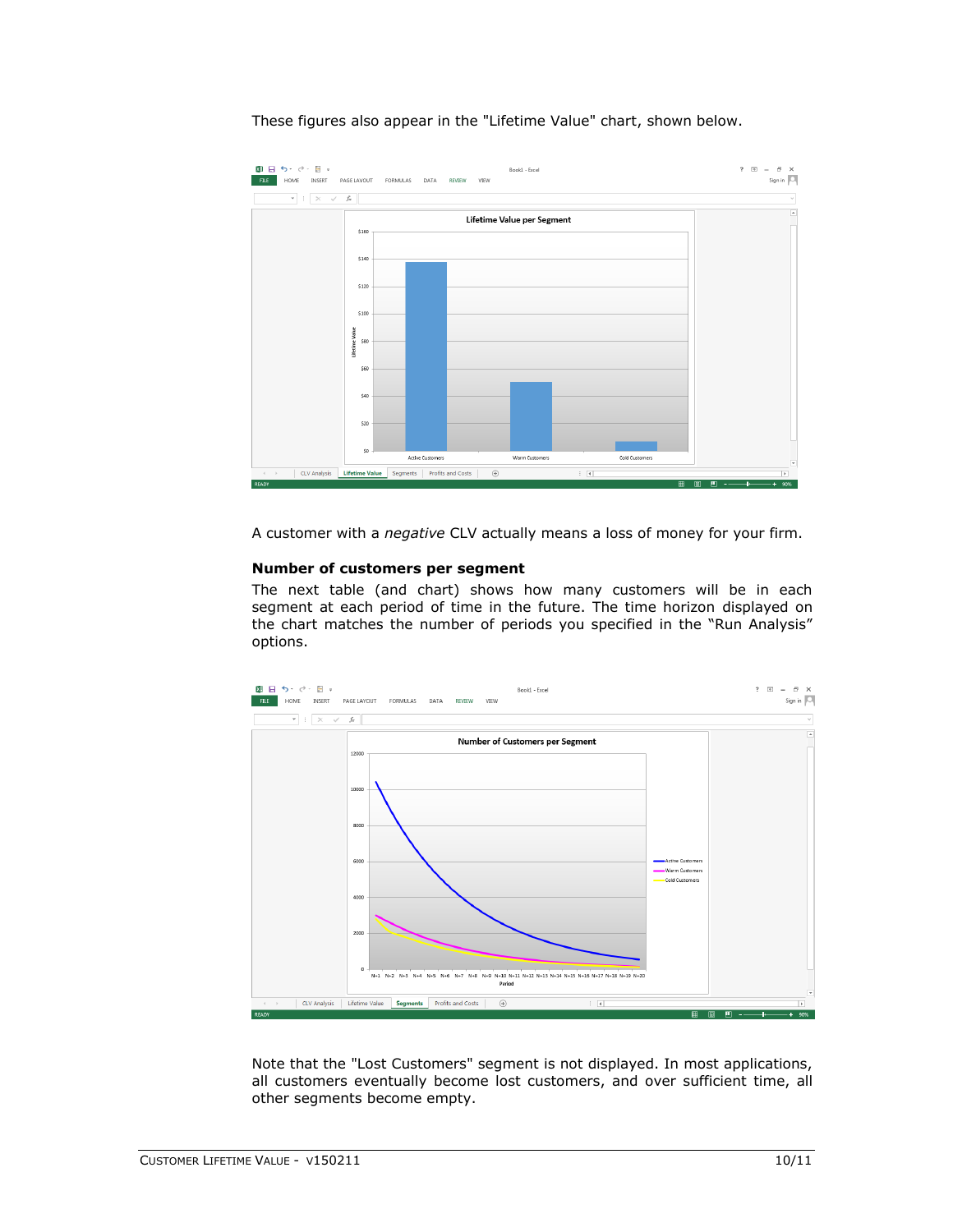

These figures also appear in the "Lifetime Value" chart, shown below.

A customer with a *negative* CLV actually means a loss of money for your firm.

### **Number of customers per segment**

The next table (and chart) shows how many customers will be in each segment at each period of time in the future. The time horizon displayed on the chart matches the number of periods you specified in the "Run Analysis" options.



Note that the "Lost Customers" segment is not displayed. In most applications, all customers eventually become lost customers, and over sufficient time, all other segments become empty.